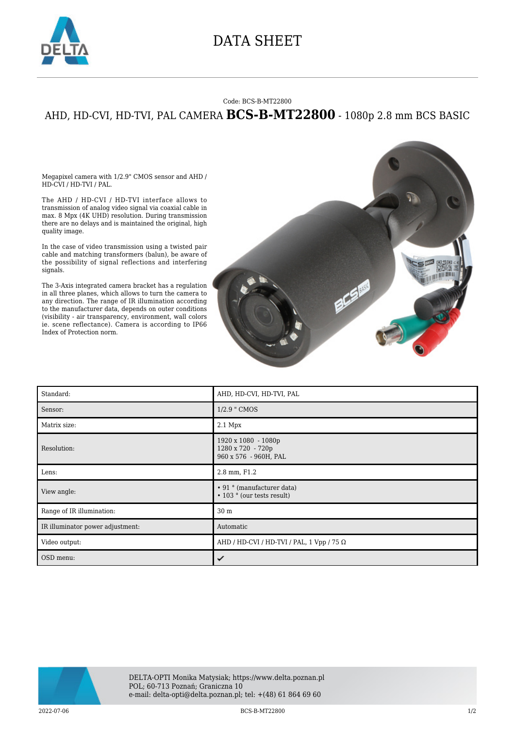

## DATA SHEET

## Code: BCS-B-MT22800

## AHD, HD-CVI, HD-TVI, PAL CAMERA **BCS-B-MT22800** - 1080p 2.8 mm BCS BASIC

Megapixel camera with 1/2.9" CMOS sensor and AHD / HD-CVI / HD-TVI / PAL.

The AHD / HD-CVI / HD-TVI interface allows to transmission of analog video signal via coaxial cable in max. 8 Mpx (4K UHD) resolution. During transmission there are no delays and is maintained the original, high quality image.

In the case of video transmission using a twisted pair cable and matching transformers (balun), be aware of the possibility of signal reflections and interfering signals.

The 3-Axis integrated camera bracket has a regulation in all three planes, which allows to turn the camera to any direction. The range of IR illumination according to the manufacturer data, depends on outer conditions (visibility - air transparency, environment, wall colors ie. scene reflectance). Camera is according to IP66 Index of Protection norm.



| Standard:                        | AHD, HD-CVI, HD-TVI, PAL                                          |
|----------------------------------|-------------------------------------------------------------------|
| Sensor:                          | 1/2.9 " CMOS                                                      |
| Matrix size:                     | $2.1$ Mpx                                                         |
| Resolution:                      | 1920 x 1080 - 1080p<br>1280 x 720 - 720p<br>960 x 576 - 960H, PAL |
| Lens:                            | 2.8 mm, F1.2                                                      |
| View angle:                      | • 91 ° (manufacturer data)<br>• 103 ° (our tests result)          |
| Range of IR illumination:        | 30 m                                                              |
| IR illuminator power adjustment: | Automatic                                                         |
| Video output:                    | AHD / HD-CVI / HD-TVI / PAL, 1 Vpp / 75 $\Omega$                  |
| OSD menu:                        | ✓                                                                 |



2022-07-06 BCS-B-MT22800 1/2